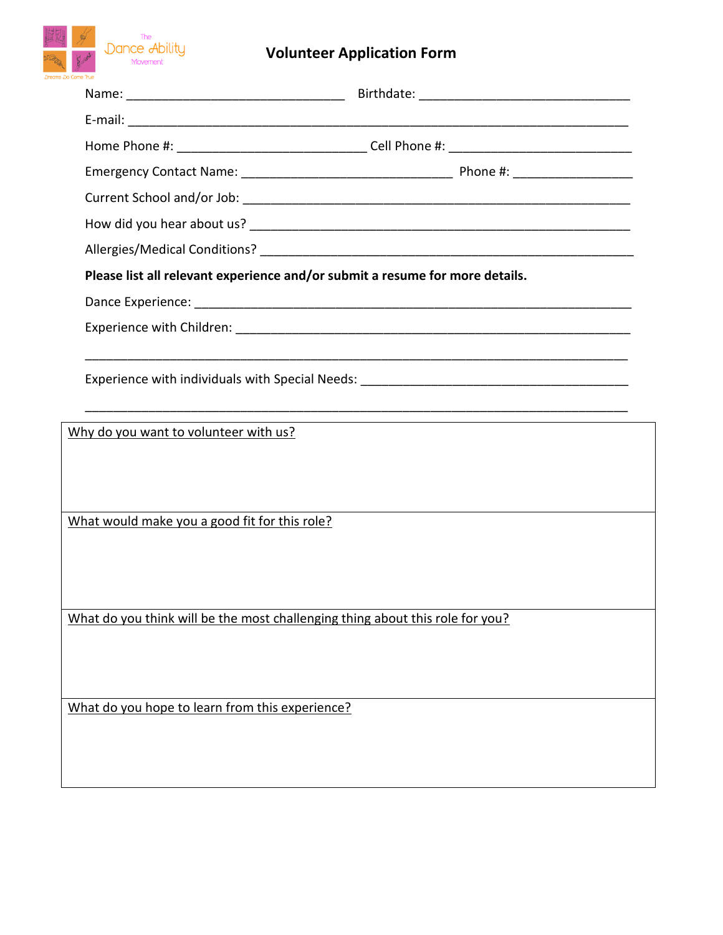

## **Volunteer Application Form**

| Please list all relevant experience and/or submit a resume for more details.  |                                                                                   |
|-------------------------------------------------------------------------------|-----------------------------------------------------------------------------------|
|                                                                               |                                                                                   |
|                                                                               |                                                                                   |
|                                                                               | Experience with individuals with Special Needs: _________________________________ |
| Why do you want to volunteer with us?                                         |                                                                                   |
|                                                                               |                                                                                   |
|                                                                               |                                                                                   |
| What would make you a good fit for this role?                                 |                                                                                   |
|                                                                               |                                                                                   |
|                                                                               |                                                                                   |
|                                                                               |                                                                                   |
| What do you think will be the most challenging thing about this role for you? |                                                                                   |
|                                                                               |                                                                                   |
|                                                                               |                                                                                   |
| What do you hope to learn from this experience?                               |                                                                                   |
|                                                                               |                                                                                   |
|                                                                               |                                                                                   |
|                                                                               |                                                                                   |